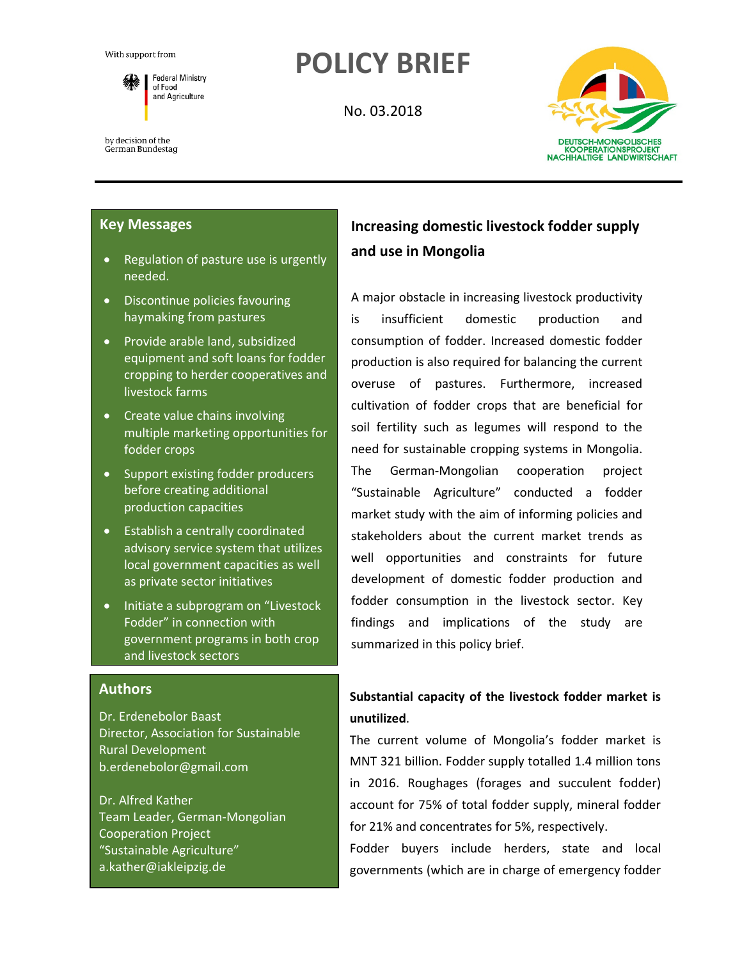

by decision of the German Bundestag

# **POLICY BRIEF**

No. 03.2018



#### **Key Messages**

- Regulation of pasture use is urgently needed.
- Discontinue policies favouring haymaking from pastures
- Provide arable land, subsidized equipment and soft loans for fodder cropping to herder cooperatives and livestock farms
- Create value chains involving multiple marketing opportunities for fodder crops
- Support existing fodder producers before creating additional production capacities
- Establish a centrally coordinated advisory service system that utilizes local government capacities as well as private sector initiatives
- Initiate a subprogram on "Livestock Fodder" in connection with government programs in both crop and livestock sectors

#### **Authors**

Dr. Erdenebolor Baast Director, Association for Sustainable Rural Development b.erdenebolor@gmail.com

Dr. Alfred Kather Team Leader, German-Mongolian Cooperation Project "Sustainable Agriculture" a.kather@iakleipzig.de

## **Increasing domestic livestock fodder supply and use in Mongolia**

A major obstacle in increasing livestock productivity is insufficient domestic production and consumption of fodder. Increased domestic fodder production is also required for balancing the current overuse of pastures. Furthermore, increased cultivation of fodder crops that are beneficial for soil fertility such as legumes will respond to the need for sustainable cropping systems in Mongolia. The German-Mongolian cooperation project "Sustainable Agriculture" conducted a fodder market study with the aim of informing policies and stakeholders about the current market trends as well opportunities and constraints for future development of domestic fodder production and fodder consumption in the livestock sector. Key findings and implications of the study are summarized in this policy brief.

## **Substantial capacity of the livestock fodder market is unutilized**.

The current volume of Mongolia's fodder market is MNT 321 billion. Fodder supply totalled 1.4 million tons in 2016. Roughages (forages and succulent fodder) account for 75% of total fodder supply, mineral fodder for 21% and concentrates for 5%, respectively.

Fodder buyers include herders, state and local governments (which are in charge of emergency fodder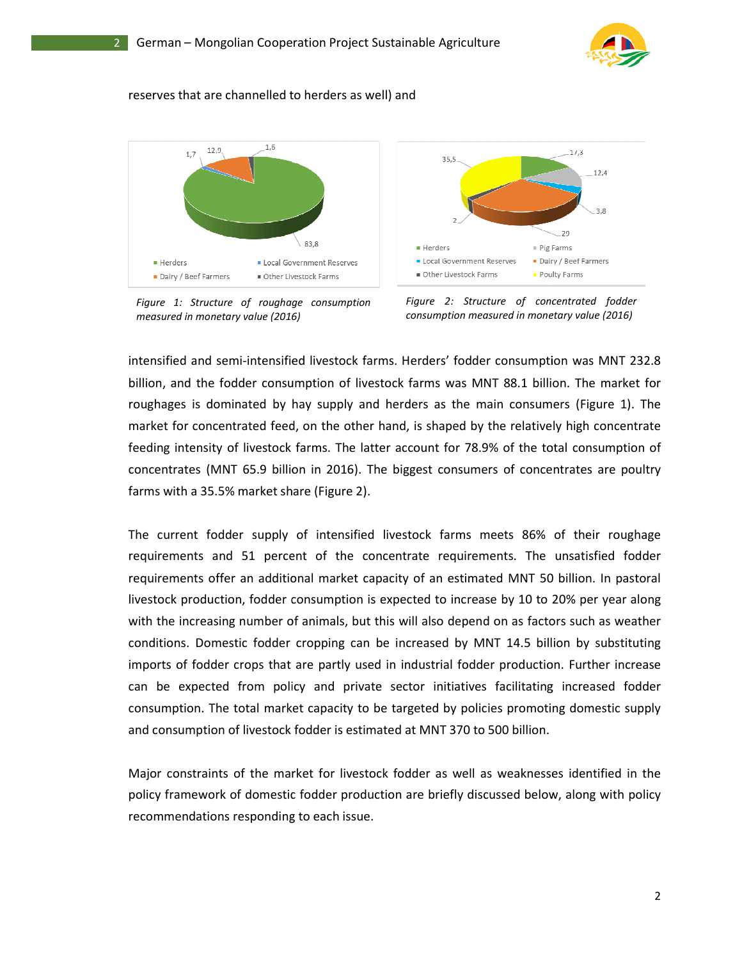

#### reserves that are channelled to herders as well) and



*Figure 1: Structure of roughage consumption measured in monetary value (2016)*



*consumption measured in monetary value (2016)*

intensified and semi-intensified livestock farms. Herders' fodder consumption was MNT 232.8 billion, and the fodder consumption of livestock farms was MNT 88.1 billion. The market for roughages is dominated by hay supply and herders as the main consumers (Figure 1). The market for concentrated feed, on the other hand, is shaped by the relatively high concentrate feeding intensity of livestock farms. The latter account for 78.9% of the total consumption of concentrates (MNT 65.9 billion in 2016). The biggest consumers of concentrat<br>farms with a 35.5% market share (Figure 2). farms with a 35.5% market share (Figure 2). billion, and the fodder consumption of livestock farms was MNT 88.1 billion. The market for roughages is dominated by hay supply and herders as the main consumers (Figure 1). The market for concentrated feed, on the other

The current fodder supply of intensified livestock farms meets 86% of their roughage requirements and 51 percent of the concentrate requirements. The unsatisfied fodder requirements and 51 percent of the concentrate requirements. The unsatisfied fodder<br>requirements offer an additional market capacity of an estimated MNT 50 billion. In pastoral<br>livestock production, fodder consumption is e livestock production, fodder consumption is expected to increase by 10 to 20% with the increasing number of animals, but this will also depend on as factors such as weather conditions. Domestic fodder cropping can be increased by MNT 14.5 billion by substituting imports of fodder crops that are partly used in industrial fodder production. Further increase imports of fodder crops that are partly used in industrial fodder production. Further increase<br>can be expected from policy and private sector initiatives facilitating increased fodder consumption. The total market capacity to be targeted by policies promoting domestic supply<br>and consumption of livestock fodder is estimated at MNT 370 to 500 billion. and consumption of livestock fodder is estimated at MNT 370 to 500 billion. Figure 1: Structure of roughage consumption Figure 2: Structure of concentrated fodder<br>tensified and semi-intensified livestock farms. Herders indeer consumption measured in monetary value (2016)<br>then fifted and semi-inten Figure 1: Structure of roughtinge consumption. Figure 2: Structure of concentrated fodder measured in monetary value (2016)<br>intensified and semi-intensified livestock farms. Herders' fodder consumption was MNT 2:<br>billion,

Major constraints of the market for livestock fodder as well Major constraints of the market for livestock fodder as well as weaknesses identified in the policy framework of domestic fodder production are briefly discussed below, along with policy recommendations responding to each issue.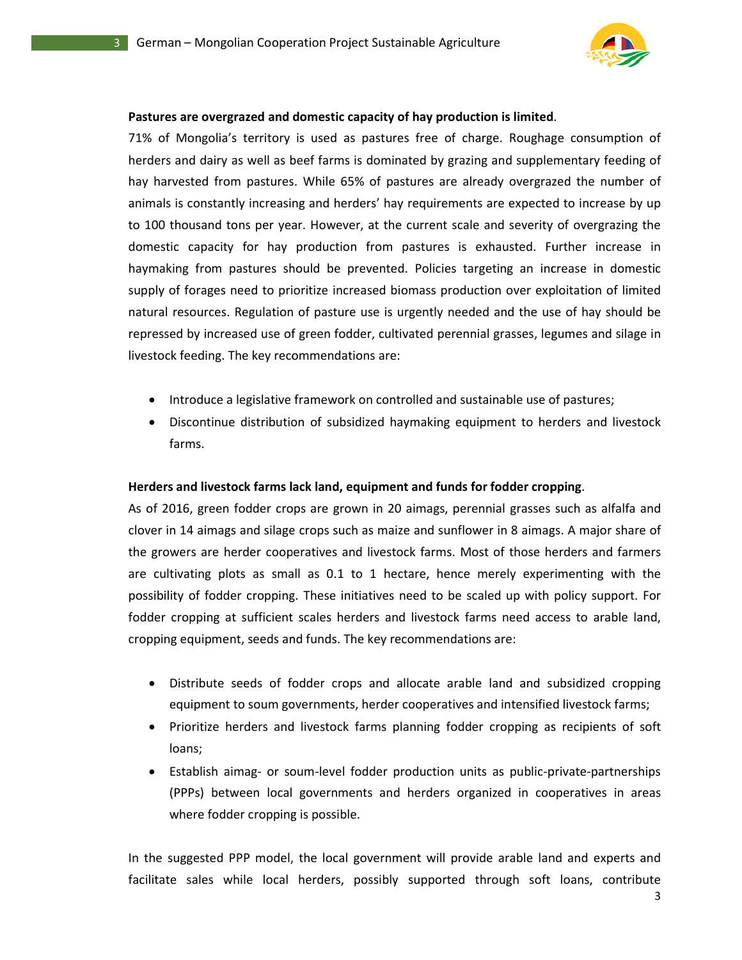

#### Pastures are overgrazed and domestic capacity of hay production is limited.

71% of Mongolia's territory is used as pastures free of charge. Roughage consumption of<br>herders and dairy as well as beef farms is dominated by grazing and supplementary feeding of<br>hay harvested from pastures. While 65% of herders and dairy as well as beef farms is dominated by grazing and supplementary feeding of<br>hay harvested from pastures. While 65% of pastures are already overgrazed the number of hay harvested from pastures. While 65% of pastures are already overgrazed the number of animals is constantly increasing and herders' hay requirements are expected to increase by up to 100 thousand tons per year. However, at the current scale and severity of overgrazing the animals is constantly increasing and herders' hay requirements are expected to increase by up<br>to 100 thousand tons per year. However, at the current scale and severity of overgrazing the<br>domestic capacity for hay productio haymaking from pastures should be prevented. Policies targeting an increase in domestic supply of forages need to prioritize increased biomass production over exploitation of limited supply of forages need to prioritize increased biomass production over exploitation of limited<br>natural resources. Regulation of pasture use is urgently needed and the use of hay should be repressed by increased use of green fodder, cultivated perennial grasses, legumes and silage in livestock feeding. The key recommendations are: inimals is constantly increasing and herders' hay requirements are expected to increase by<br>to 100 thousand tons per year. However, at the current scale and severity of overgrazing t<br>domestic capacity for hay production fro

- Introduce a legislative framework on controlled and sustainable use of pastures;
- Discontinue distribution of subsidized haymaking equipment to herders and livestock farms.

#### **Herders and livestock farms lack land, equipment and funds for fodder cropping Herders and livestock farms** .

As of 2016, green fodder crops are grown in 20 aimags, perennial grasses such as alfalfa and clover in 14 aimags and silage crops such as maize and sunflower in 8 aimags. A major share of the growers are herder cooperatives and livestock farms. Most of those herders and farmers are cultivating plots as small as  $0.1$  to 1 hectare, hence merely experimenting with the possibility of fodder cropping. These initiatives need to be scaled up with policy support. For fodder cropping at sufficient scales herders and livestock farms need access to arable land, cropping equipment, seeds and fun fodder cropping at sufficient scales herders and livestock farms need access to arable land, cropping equipment, seeds and funds. The key recommendations are: repressed by increased use of green fodder, cultivated perennial grasses, legumes and silage in<br>livestock feeding. The key recommendations are:<br><br>• Introduce a legislative framework on controlled and sustainable use of past 14 aimags and silage crops such as maize and sunflower in 8 aimags. A major share of<br>ers are herder cooperatives and livestock farms. Most of those herders and farmers<br>vating plots as small as 0.1 to 1 hectare, hence merel

- Distribute seeds of fodder crops and allocate arable land and subsidized cropping equipment to soum governments, herder cooperatives and intensified livestock farms; • Distribute seeds of fodder crops and allocate arable land and subsidized cropping<br>equipment to soum governments, herder cooperatives and intensified livestock farms;<br>• Prioritize herders and livestock farms planning fodd
- loans;
- Establish aimag- or soum-level fodder production units as public-private (PPPs) between local governments and herders organized in cooperatives in areas where fodder cropping is possible.

In the suggested PPP model, the local government will provide arable land and experts and In the suggested PPP model, the local government will provide arable land and experts and<br>facilitate sales while local herders, possibly supported through soft loans, contribute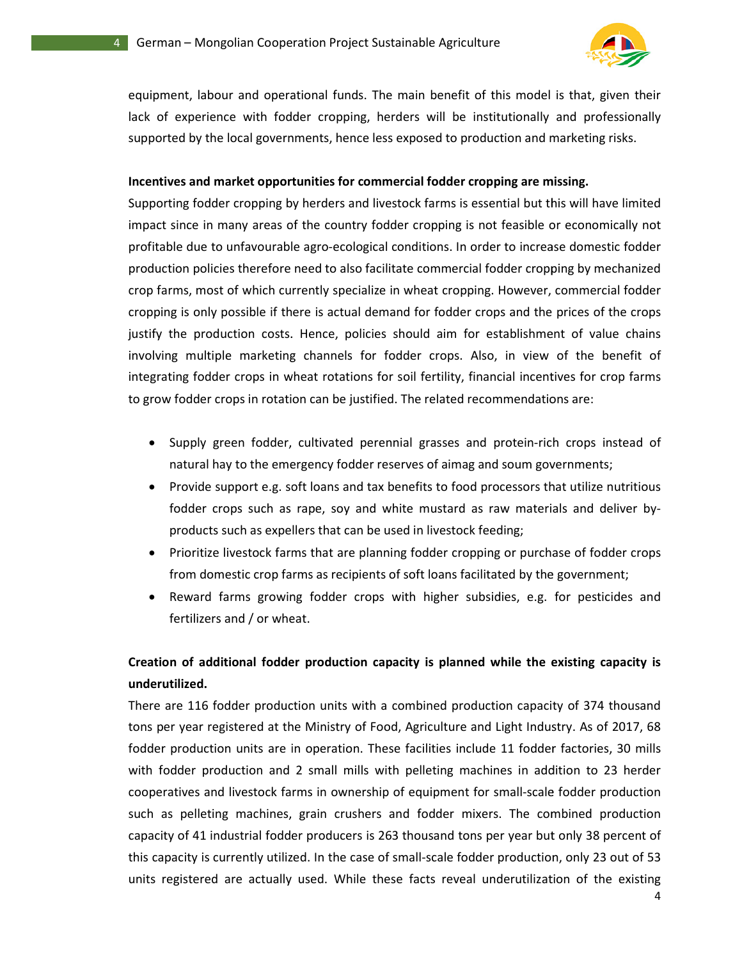

4

equipment, labour and operational funds. The main benefit of this model is that, given their equipment, labour and operational funds. The main benefit of this model is that, given their<br>lack of experience with fodder cropping, herders will be institutionally and professionally supported by the local governments, hence less exposed to production and marketing risks.

#### Incentives and market opportunities for commercial fodder cropping are missing.

Supporting fodder cropping by herders and livestock farms is essential but this will have limited impact since in many areas of the country fodder cropping is not feasible or economically not Supporting fodder cropping by herders and livestock farms is essential but this will have limited<br>impact since in many areas of the country fodder cropping is not feasible or economically not<br>profitable due to unfavourable production policies therefore need to also facilitate commercial fodder cropping by mechanized crop farms, most of which currently specialize in wheat cropping. However, commercial fodder cropping is only possible if there is actual demand for fodder crops and the prices of the crops justify the production costs. Hence, policies should aim for establishment of value chains involving multiple marketing channels for fodder crops. Also, in view of the benefit of integrating fodder crops in wheat rotations for soil fertility, financial incentives for crop farms to grow fodder crops in rotation can be justified. The related recommendations are: follow policies therefore need to also facilitate commercial fodder cropping by mechanized<br>op farms, most of which currently specialize in wheat cropping. However, commercial fodder<br>opping is only possible if there is actu lack of experience with fodder cropping, herders will be institutionally and professionally<br>supported by the local governments, hence less exposed to production and marketing risks.<br>Incentives and market opportunities for

- Supply green fodder, cultivated perennial grasses and protein-rich crops instead of natural hay to the emergency fodder reserves of aimag and soum governments;
- Provide support e.g. soft loans and tax benefits to food processors that utilize nutritious fodder crops such as rape, soy and white mustard as raw materials and deliver products such as expellers that can be used in livestock feeding; to the emergency fodder reserves of aimag and soum governments;<br>support e.g. soft loans and tax benefits to food processors that utilize nutritious<br>crops such as rape, soy and white mustard as raw materials and deliver bythe emergency fodder reserves of aimag and soum governments;<br>rt e.g. soft loans and tax benefits to food processors that utilize nutritious<br>such as rape, soy and white mustard as raw materials and deliver by-
- Prioritize livestock farms that are planning fodder cropping or purchase of fodder crops from domestic crop farms as recipients of soft loans facilitated by the government;
- from domestic crop farms as recipients of soft loans i<br>• Reward farms growing fodder crops with higher fertilizers and / or wheat.

## Creation of additional fodder production capacity is planned while the existing capacity is **underutilized.**

There are 116 fodder production units with a combined production capacity of 374 thousand tons per year registered at the Ministry of Food, Agriculture and Light Industry. As of 2017, 68 fodder production units are in operation. These facilities include 11 fodder factories, 30 mills with fodder production and 2 small mills with pelleting machines in addition to 23 herder tons per year registered at the Ministry of Food, Agriculture and Light Industry. As of 2017, 68<br>fodder production units are in operation. These facilities include 11 fodder factories, 30 mills<br>with fodder production and 2 such as pelleting machines, grain crushers and fodder mixers. The combined production<br>capacity of 41 industrial fodder producers is 263 thousand tons per year but only 38 percent of<br>this capacity is currently utilized. In capacity of 41 industrial fodder producers is 263 thousand tons per year but only 38 percent of this capacity is currently utilized. In the case of small-scale fodder production, only 23 out of 53 units registered are actually used. While these facts reveal underutilization of the existing There are 116 fodder production units with a combined production capacity of 374 tons per year registered at the Ministry of Food, Agriculture and Light Industry. As of fodder production units are in operation. These facil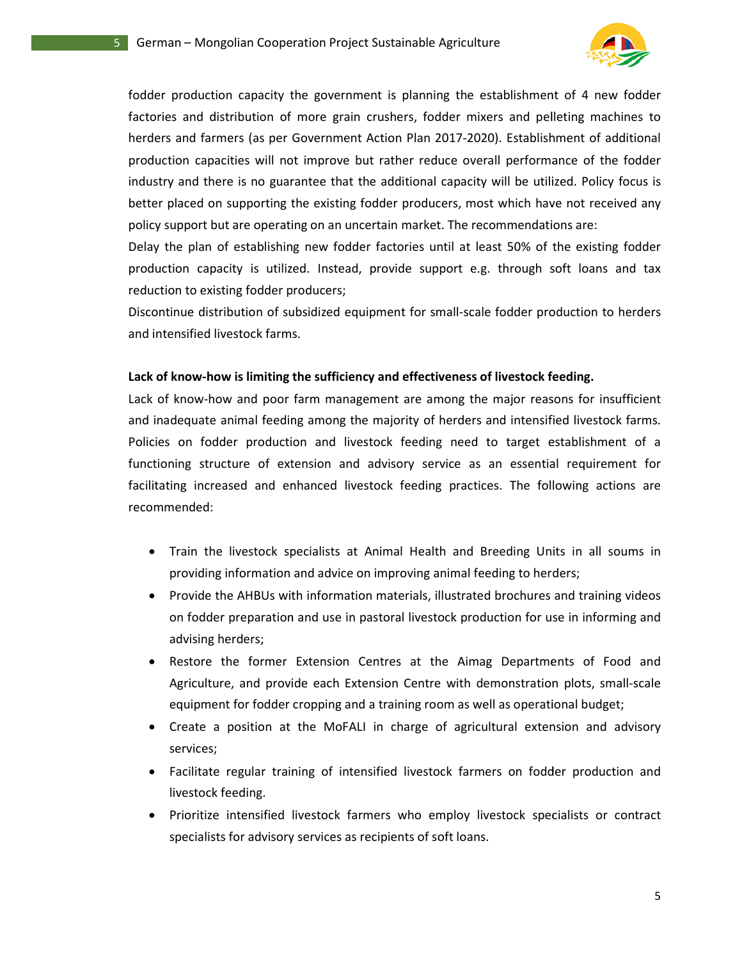

fodder production capacity the government is planning the establishment of 4 new fodder factories and distribution of more grain crushers, fodder mixers and pelleting machines to factories and distribution of more grain crushers, fodder mixers and pelleting machines to<br>herders and farmers (as per Government Action Plan 2017-2020). Establishment of additional production capacities will not improve but rather reduce overall performance of the fodder<br>industry and there is no guarantee that the additional capacity will be utilized. Policy focus is<br>better placed on supporting the e industry and there is no guarantee that the additional capacity will be utilized. Policy focus is better placed on supporting the existing fodder producers, most which have not received any policy support but are operating on an uncertain market. The recommendations are: r production capacity the government is planning the establishment of 4 new fodder es and distribution of more grain crushers, fodder mixers and pelleting machines to s and farmers (as per Government Action Plan 2017-2020)

Delay the plan of establishing new fodder factories until at least 50% of the existing fodder production capacity is utilized. Instead, provide support e.g. through soft loans and tax reduction to existing fodder producers; Interpreticulary on an uncertain market. The recommendations are:<br>
Interactions provident smallest small-scale for the existing fodder<br>
Interact with small-scale for the soft loans and tax<br>
Interact g fodder production to

Discontinue distribution of subsidized equipment for small-scale fodder production to herders and intensified livestock farms.

#### Lack of know-how is limiting the sufficiency and effectiveness of livestock feeding.

Lack of know-how and poor farm management are among the major reasons for insufficient and inadequate animal feeding among the majority of herders and intensified livestock farms. Policies on fodder production and livestock feeding need to target establishment of a functioning structure of extension and advisory service as an essential requirement for facilitating increased and enhanced livestock feeding practices. The following actions are recommended: f know-how and poor farm management are among the major reasons for insufficient<br>adequate animal feeding among the majority of herders and intensified livestock farms.<br>So no fodder production and livestock feeding need to and inadequate animal feeding among the majority of herders and intensified livestock farms.<br>Policies on fodder production and livestock feeding need to target establishment of a<br>functioning structure of extension and advi

- Train the livestock specialists at Animal Health and Breeding Units in all soums in providing information and advice on improving animal feeding to herders;
- providing information and advice on improving animal feeding to herders;<br>• Provide the AHBUs with information materials, illustrated brochures and training videos on fodder preparation and use in pastoral livestock production for use in informing and advising herders;
- Restore the former Extension Centres at the Aimag Departments of Food and Restore the former Extension Centres at the Aimag Departments of Food and<br>Agriculture, and provide each Extension Centre with demonstration plots, small-scale equipment for fodder cropping and a training room as well as operational budget;
- Create a position at the MoFALI in charge of agricultural extension and advisory services; fodder cropping and a training room as well as operational budget;<br>ion at the MoFALI in charge of agricultural extension and advi<br>lar training of intensified livestock farmers on fodder production
- Facilitate regular training of intensified livestock farmers on fodder production and livestock feeding.
- Prioritize intensified livestock farmers who employ livestock specialists or contract livestock specialists specialists for advisory services as recipients of soft loans.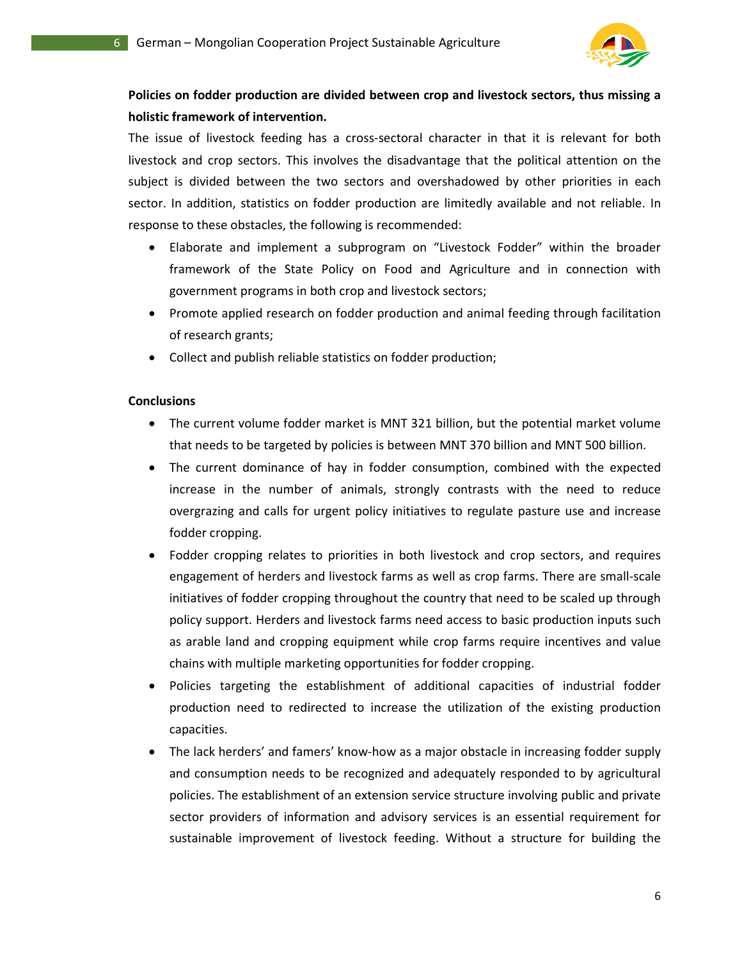

### Policies on fodder production are divided between crop and livestock sectors, thus missing a **holistic framework of intervention.**

The issue of livestock feeding has a cross-sectoral character in that it is relevant for both livestock and crop sectors. This involves the disadvantage that the political attention on the subject is divided between the two sectors and overshadowed by other priorities in each sector. In addition, statistics on fodder production are limitedly available and not reliable. In response to these obstacles, the following is recommended: livestock and crop sectors. This involves the disadvantage that the political attention on the<br>subject is divided between the two sectors and overshadowed by other priorities in each<br>sector. In addition, statistics on fodd ue of livestock feeding has a cross-sectoral character in that it is relevant for both and crop sectors. This involves the disadvantage that the political attention on the sectors. This involves the disadvantage that the p

- Elaborate and implement a subprogram on "Livestock Fodder" within the broader framework of the State Policy on Food and Agriculture and in connection with government programs in both crop and livestock sectors;
- Promote applied research on fodder production and animal feeding through facilitation of research grants;
- Collect and publish reliable statistics on fodder production;

#### **Conclusions**

- The current volume fodder market is MNT 321 billion, but the potential market volume that needs to be targeted by policies is between MNT 370 billion and MNT 500 billion. oublish reliable statistics on fodder production;<br>volume fodder market is MNT 321 billion, but the potential market volume<br>o be targeted by policies is between MNT 370 billion and MNT 500 billion.
- The current dominance of hay in fodder consumption, combined with the expected increase in the number of animals, strongly contrasts with the need to reduce The current dominance of hay in fodder consumption, combined with the expected increase in the number of animals, strongly contrasts with the need to reduce overgrazing and calls for urgent policy initiatives to regulate p fodder cropping. The current dominance of hay in fodder consumption, combined with the expected increase in the number of animals, strongly contrasts with the need to reduce overgrazing and calls for urgent policy initiatives to regulate p
- Fodder cropping relates to priorities in both livestock and crop sectors, and requires initiatives of fodder cropping throughout the country that need to be scaled up through policy support. Herders and livestock farms need access to basic production inputs such<br>as arable land and cropping equipment while crop farms require incentives and value<br>chains with multiple marketing opportunities for f as arable land and cropping equipment while crop farms require incentives and value chains with multiple marketing opportunities for fodder cropping. tives of fodder cropping throughout the country that need<br>y support. Herders and livestock farms need access to basic<br>rable land and cropping equipment while crop farms requi<br>ns with multiple marketing opportunities for fo
- Policies targeting the establishment of additional capacities of industrial fodder production need to redirected to increase the utilization of the existing production capacities. • Policies targeting the establishment of additional capacities of industrial fodder production need to redirected to increase the utilization of the existing production capacities.<br>• The lack herders' and famers' know-how
- and consumption needs to be recognized and adequately responded to by agricultural<br>policies. The establishment of an extension service structure involving public and private<br>sector providers of information and advisory ser policies. The establishment of an extension service structure involving public and private sector providers of information and advisory services is an essential requirement for sustainable improvement of livestock feeding. Without a structure for building the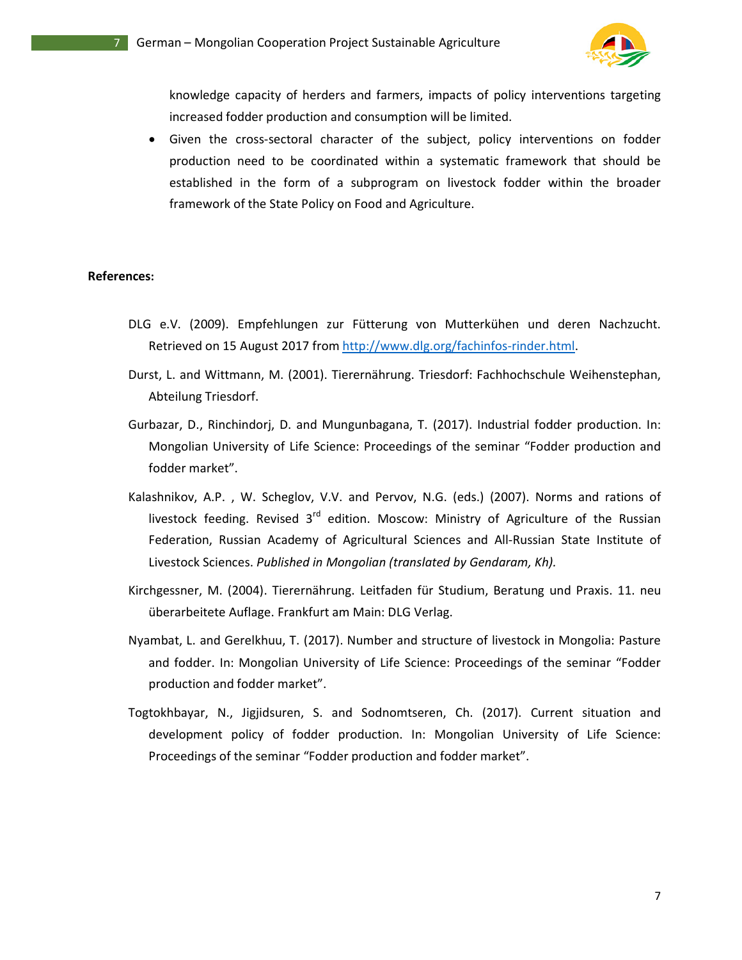

knowledge capacity of herders and farmers, impacts of policy interventions targeting knowledge capacity of herders and farmers, impacts of poliontion<br>increased fodder production and consumption will be limited.

• Given the cross-sectoral character of the subject, policy interventions on fodder production need to be coordinated within a systematic framework that should be established in the form of a subprogram on livestock fodder within the broader framework of the State Policy on Food and Agriculture. sectoral character of the subject, policy interventions on fodder<br>to be coordinated within a systematic framework that should be<br>e form of a subprogram on livestock fodder within the broader<br>State Policy on Food and Agricu knowledge capacity of herders and farmers, impacts of policy interventions targeting<br>increased fodder production and consumption will be limited.<br>Given the cross-sectoral character of the subject, policy interventions on f

#### **References:**

- DLG e.V. (2009). Empfehlungen zur Fütterung von Mutterkühen und deren Nachzucht. DLG e.V. (2009). Empfehlungen zur Fütterung von Mutterkühen und dere<br>Retrieved on 15 August 2017 from http://www.dlg.org/fachinfos-rinder.html.
- Durst, L. and Wittmann, M. (2001). Tierernährung. Triesdorf: Fachhochschule Weihenstephan, Abteilung Triesdorf.
- Gurbazar, D., Rinchindorj, D. and Mungunbagana, T. (2017). Industrial fodder production. In: Mongolian University of Life Science: Proceedings of the seminar "Fodder production and fodder market". Gurbazar, D., Rinchindorj, D. and Mungunbagana, T. (2017). Industrial fodder production. In:<br>
Mongolian University of Life Science: Proceedings of the seminar "Fodder production and<br>
fodder market".<br>
Kalashnikov, A.P., W. and Mungunbagana, T. (2017). Industrial fodder production. In:<br>ife Science: Proceedings of the seminar "Fodder production and<br>lov, V.V. and Pervov, N.G. (eds.) (2007). Norms and rations of
- Kalashnikov, A.P., W. Scheglov, V.V. and Pervov, N.G. (eds.) (2007). Norms and rations of livestock feeding. Revised 3<sup>rd</sup> edition. Moscow: Ministry of Agriculture of the Russian<br>Federation, Russian Academy of Agricultural Sciences and All-Russian State Institute of Livestock Sciences. *Published in Mongolian (translated by Gendaram, Kh) Gendaram, Kh) Kh).*
- Kirchgessner, M. (2004). Tierernährung. Leitfaden für Studium, Beratung und Praxis. 11. neu überarbeitete Auflage. Frankfurt am Main: DLG Verlag.
- Nyambat, L. and Gerelkhuu, T. (2017). Number and structure of livestock in Mongolia: Pasture and fodder. In: Mongolian University of Life Science: Proceedings of the seminar "Fodder<br>production and fodder market". production and fodder market". I. (2004). Tierernährung. Leitfaden für Studium, Beratung und Praxis. 11. neu<br>
ie Auflage. Frankfurt am Main: DLG Verlag.<br>
1 Gerelkhuu, T. (2017). Number and structure of livestock in Mongolia: Pasture<br>
In: Mongolian Unive
- Togtokhbayar, N., Jigjidsuren, S. and Sodnomtseren, Ch. (2017). Current situation and development policy of fodder production. In: Mongolian University of Life Science:<br>Proceedings of the seminar "Fodder production and fod development policy of fodder production. In: Mongolian University of Life Science: Proceedings of the seminar "Fodder production and fodder market".